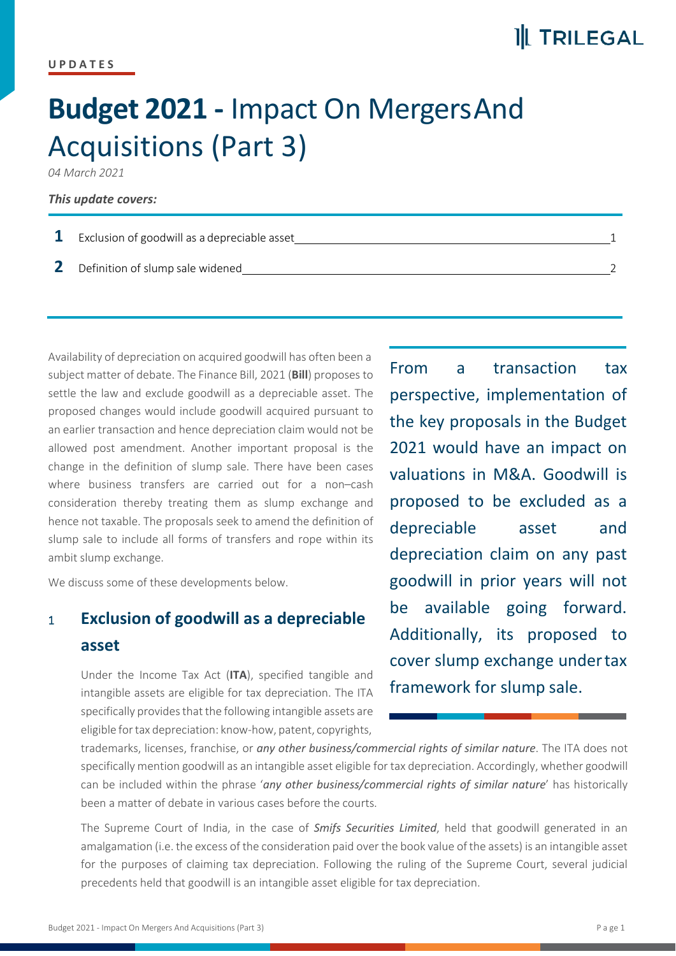# **Budget 2021 -** Impact On MergersAnd Acquisitions (Part 3)

*04 March 2021*

#### *This update covers:*

| <b>1</b> Exclusion of goodwill as a depreciable asset |  |
|-------------------------------------------------------|--|
| 2 Definition of slump sale widened                    |  |

Availability of depreciation on acquired goodwill has often been a<br>
From a subject matter of debate. The Finance Bill, 2021 (**Bill**) proposes to settle the law and exclude goodwill as a depreciable asset. The proposed changes would include goodwill acquired pursuant to an earlier transaction and hence depreciation claim would not be allowed post amendment. Another important proposal is the change in the definition of slump sale. There have been cases where business transfers are carried out for a non–cash consideration thereby treating them as slump exchange and hence not taxable. The proposals seek to amend the definition of slump sale to include all forms of transfers and rope within its ambit slump exchange.

We discuss some of these developments below.

## <sup>1</sup> **Exclusion of goodwill as a depreciable asset**

Under the Income Tax Act (ITA), specified tangible and intangible assets are eligible for tax depreciation. The ITA specifically provides that the following intangible assets are eligible fortax depreciation: know-how, patent, copyrights,

transaction tax perspective, implementation of the key proposals in the Budget 2021 would have an impact on valuations in M&A. Goodwill is proposed to be excluded as a depreciable asset and depreciation claim on any past goodwill in prior years will not available going forward. Additionally, its proposed to cover slump exchange undertax framework for slump sale.

trademarks, licenses, franchise, or *any other business/commercial rights of similar nature*. The ITA does not specifically mention goodwill as an intangible asset eligible for tax depreciation. Accordingly, whether goodwill can be included within the phrase '*any other business/commercial rights of similar nature*' has historically been a matter of debate in various cases before the courts.

The Supreme Court of India, in the case of *Smifs Securities Limited*, held that goodwill generated in an amalgamation (i.e. the excess ofthe consideration paid over the book value of the assets) is an intangible asset for the purposes of claiming tax depreciation. Following the ruling of the Supreme Court, several judicial precedents held that goodwill is an intangible asset eligible for tax depreciation.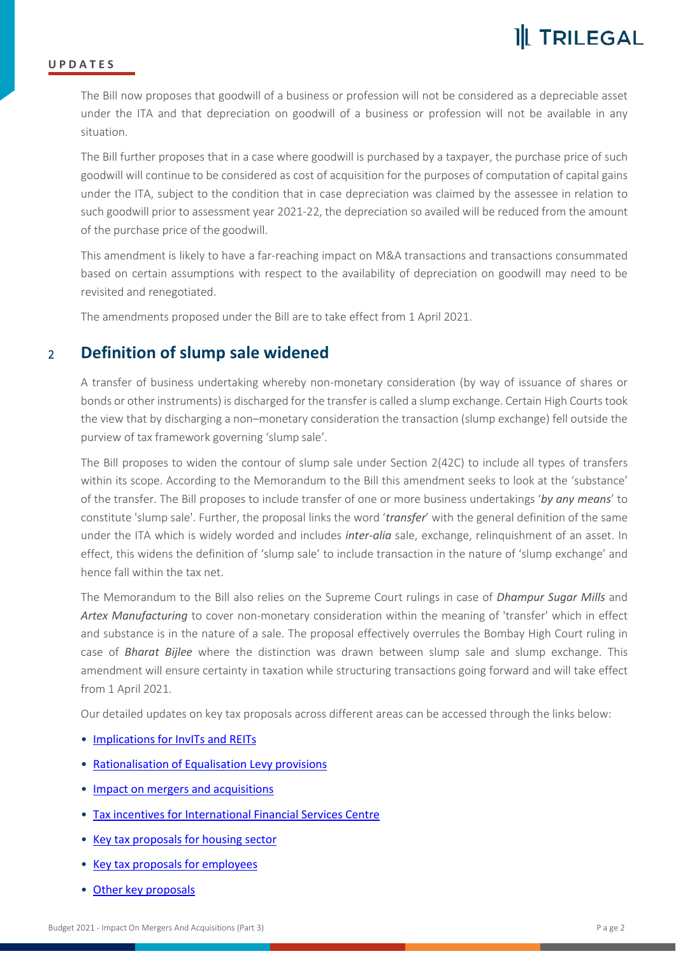

#### **U P D A T E S**

The Bill now proposes that goodwill of a business or profession will not be considered as a depreciable asset under the ITA and that depreciation on goodwill of a business or profession will not be available in any situation.

The Bill further proposes that in a case where goodwill is purchased by a taxpayer, the purchase price of such goodwill will continue to be considered as cost of acquisition for the purposes of computation of capital gains under the ITA, subject to the condition that in case depreciation was claimed by the assessee in relation to such goodwill prior to assessment year 2021-22, the depreciation so availed will be reduced from the amount of the purchase price of the goodwill.

This amendment is likely to have a far-reaching impact on M&A transactions and transactions consummated based on certain assumptions with respect to the availability of depreciation on goodwill may need to be revisited and renegotiated.

The amendments proposed under the Bill are to take effect from 1 April 2021.

### <sup>2</sup> **Definition of slump sale widened**

A transfer of business undertaking whereby non-monetary consideration (by way of issuance of shares or bonds or other instruments) is discharged for the transfer is called a slump exchange. Certain High Courtstook the view that by discharging a non–monetary consideration the transaction (slump exchange) fell outside the purview of tax framework governing 'slump sale'.

The Bill proposes to widen the contour of slump sale under Section 2(42C) to include all types of transfers within its scope. According to the Memorandum to the Bill this amendment seeks to look at the 'substance'<br>of the transfer. The Bill proposes to include transfer of one or more business undertakings 'by any means' to constitute 'slump sale'. Further, the proposal links the word '*transfer*' with the general definition of the same under the ITA which is widely worded and includes *inter-alia* sale, exchange, relinquishment of an asset. In effect, this widens the definition of 'slump sale' to include transaction in the nature of 'slump exchange' and hence fall within the tax net.

The Memorandum to the Bill also relies on the Supreme Court rulings in case of *Dhampur Sugar Mills* and *Artex Manufacturing* to cover non-monetary consideration within the meaning of 'transfer' which in effect and substance is in the nature of a sale. The proposal effectively overrules the Bombay High Court ruling in case of *Bharat Bijlee* where the distinction was drawn between slump sale and slump exchange. This amendment will ensure certainty in taxation while structuring transactions going forward and will take effect from 1 April 2021.

Our detailed updates on key tax proposals across different areas can be accessed through the links below:

- [Implications](https://trilegal.com/wp-content/uploads/2021/11/Budget-2021-Implications-for-InvITs-and-REITs-Part-1.pdf) for InvITs and REITs
- [Rationalisation](https://trilegal.com/wp-content/uploads/2021/11/Budget-2021-Rationalisation-Of-Equalisation-Levy-Provisions-Part-2.pdf) of Equalisation Levy provisions
- Impact on mergers and [acquisitions](https://trilegal.com/wp-content/uploads/2021/11/Budget-2021-Impact-On-Mergers-And-Acquisitions-Part-3.pdf)
- Tax incentives for [International](https://trilegal.com/wp-content/uploads/2021/11/Budget-2021-Tax-Incentives-For-International-Financial-Services-Centre-Part-4.pdf) Financial Services Centre
- Key tax [proposals](https://trilegal.com/wp-content/uploads/2021/11/Budget-2021-Key-Tax-Proposals-For-Housing-Sector-Part-5.pdf) for housing sector
- Key tax proposals for [employees](https://trilegal.com/wp-content/uploads/2021/11/Budget-2021-Key-Tax-Proposals-For-Employees-Part-6.pdf)
- Other key proposals